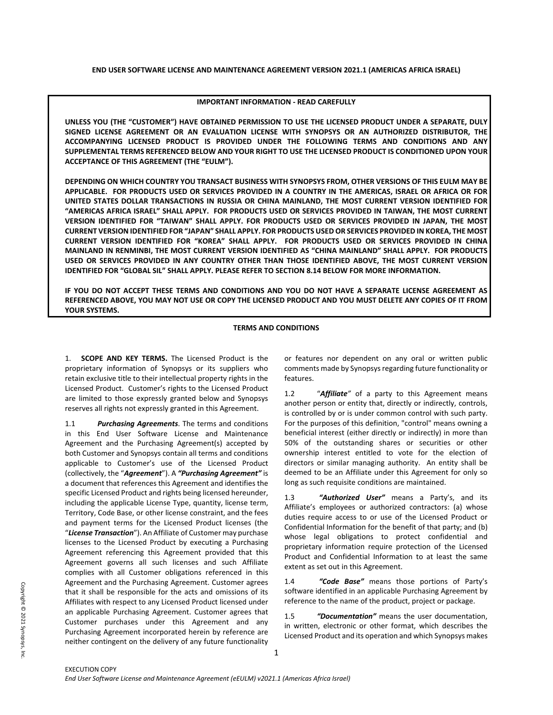### **IMPORTANT INFORMATION - READ CAREFULLY**

**UNLESS YOU (THE "CUSTOMER") HAVE OBTAINED PERMISSION TO USE THE LICENSED PRODUCT UNDER A SEPARATE, DULY SIGNED LICENSE AGREEMENT OR AN EVALUATION LICENSE WITH SYNOPSYS OR AN AUTHORIZED DISTRIBUTOR, THE ACCOMPANYING LICENSED PRODUCT IS PROVIDED UNDER THE FOLLOWING TERMS AND CONDITIONS AND ANY SUPPLEMENTAL TERMS REFERENCED BELOW AND YOUR RIGHT TO USE THE LICENSED PRODUCT IS CONDITIONED UPON YOUR ACCEPTANCE OF THIS AGREEMENT (THE "EULM").** 

**DEPENDING ON WHICH COUNTRY YOU TRANSACT BUSINESS WITH SYNOPSYS FROM, OTHER VERSIONS OF THIS EULM MAY BE APPLICABLE. FOR PRODUCTS USED OR SERVICES PROVIDED IN A COUNTRY IN THE AMERICAS, ISRAEL OR AFRICA OR FOR UNITED STATES DOLLAR TRANSACTIONS IN RUSSIA OR CHINA MAINLAND, THE MOST CURRENT VERSION IDENTIFIED FOR "AMERICAS AFRICA ISRAEL" SHALL APPLY. FOR PRODUCTS USED OR SERVICES PROVIDED IN TAIWAN, THE MOST CURRENT VERSION IDENTIFIED FOR "TAIWAN" SHALL APPLY. FOR PRODUCTS USED OR SERVICES PROVIDED IN JAPAN, THE MOST CURRENT VERSION IDENTIFIED FOR "JAPAN" SHALL APPLY. FOR PRODUCTS USED OR SERVICES PROVIDED IN KOREA, THE MOST CURRENT VERSION IDENTIFIED FOR "KOREA" SHALL APPLY. FOR PRODUCTS USED OR SERVICES PROVIDED IN CHINA MAINLAND IN RENMINBI, THE MOST CURRENT VERSION IDENTIFIED AS "CHINA MAINLAND" SHALL APPLY. FOR PRODUCTS USED OR SERVICES PROVIDED IN ANY COUNTRY OTHER THAN THOSE IDENTIFIED ABOVE, THE MOST CURRENT VERSION IDENTIFIED FOR "GLOBAL SIL" SHALL APPLY. PLEASE REFER TO SECTION 8.14 BELOW FOR MORE INFORMATION.**

**IF YOU DO NOT ACCEPT THESE TERMS AND CONDITIONS AND YOU DO NOT HAVE A SEPARATE LICENSE AGREEMENT AS REFERENCED ABOVE, YOU MAY NOT USE OR COPY THE LICENSED PRODUCT AND YOU MUST DELETE ANY COPIES OF IT FROM YOUR SYSTEMS.** 

# **TERMS AND CONDITIONS**

1. **SCOPE AND KEY TERMS.** The Licensed Product is the proprietary information of Synopsys or its suppliers who retain exclusive title to their intellectual property rights in the Licensed Product. Customer's rights to the Licensed Product are limited to those expressly granted below and Synopsys reserves all rights not expressly granted in this Agreement.

1.1 *Purchasing Agreements*. The terms and conditions in this End User Software License and Maintenance Agreement and the Purchasing Agreement(s) accepted by both Customer and Synopsys contain all terms and conditions applicable to Customer's use of the Licensed Product (collectively, the "*Agreement*"). A *"Purchasing Agreement"* is a document that references this Agreement and identifies the specific Licensed Product and rights being licensed hereunder, including the applicable License Type, quantity, license term, Territory, Code Base, or other license constraint, and the fees and payment terms for the Licensed Product licenses (the "*License Transaction*"). An Affiliate of Customer may purchase licenses to the Licensed Product by executing a Purchasing Agreement referencing this Agreement provided that this Agreement governs all such licenses and such Affiliate complies with all Customer obligations referenced in this Agreement and the Purchasing Agreement. Customer agrees that it shall be responsible for the acts and omissions of its Affiliates with respect to any Licensed Product licensed under an applicable Purchasing Agreement. Customer agrees that Customer purchases under this Agreement and any Purchasing Agreement incorporated herein by reference are neither contingent on the delivery of any future functionality

or features nor dependent on any oral or written public comments made by Synopsysregarding future functionality or features.

1.2 "*Affiliate"* of a party to this Agreement means another person or entity that, directly or indirectly, controls, is controlled by or is under common control with such party. For the purposes of this definition, "control" means owning a beneficial interest (either directly or indirectly) in more than 50% of the outstanding shares or securities or other ownership interest entitled to vote for the election of directors or similar managing authority. An entity shall be deemed to be an Affiliate under this Agreement for only so long as such requisite conditions are maintained.

1.3 *"Authorized User"* means a Party's, and its Affiliate's employees or authorized contractors: (a) whose duties require access to or use of the Licensed Product or Confidential Information for the benefit of that party; and (b) whose legal obligations to protect confidential and proprietary information require protection of the Licensed Product and Confidential Information to at least the same extent as set out in this Agreement.

1.4 *"Code Base"* means those portions of Party's software identified in an applicable Purchasing Agreement by reference to the name of the product, project or package.

1.5 *"Documentation"* means the user documentation, in written, electronic or other format, which describes the Licensed Product and its operation and which Synopsys makes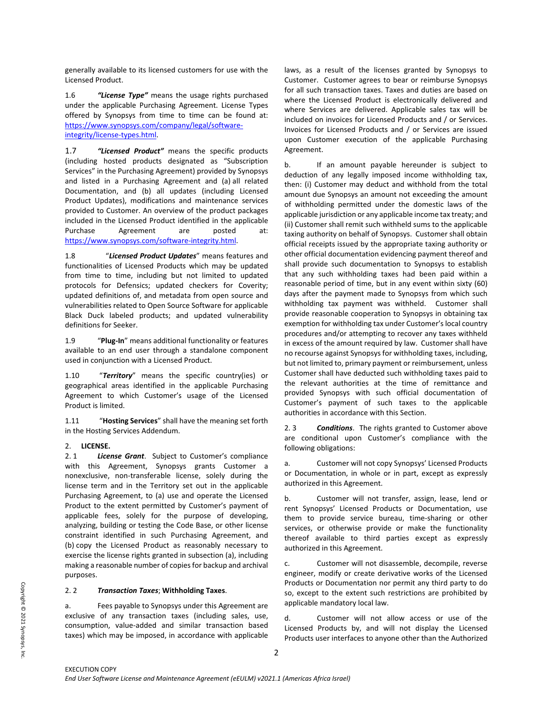generally available to its licensed customers for use with the Licensed Product.

1.6 *"License Type"* means the usage rights purchased under the applicable Purchasing Agreement. License Types offered by Synopsys from time to time can be found at: [https://www.synopsys.com/company/legal/software](https://www.synopsys.com/company/legal/software-integrity/license-types.html)[integrity/license-types.html.](https://www.synopsys.com/company/legal/software-integrity/license-types.html) 

1.7 *"Licensed Product"* means the specific products (including hosted products designated as "Subscription Services" in the Purchasing Agreement) provided by Synopsys and listed in a Purchasing Agreement and (a) all related Documentation, and (b) all updates (including Licensed Product Updates), modifications and maintenance services provided to Customer. An overview of the product packages included in the Licensed Product identified in the applicable Purchase Agreement are posted at: [https://www.synopsys.com/software-integrity.html.](https://www.synopsys.com/software-integrity.html) 

1.8 "*Licensed Product Updates*" means features and functionalities of Licensed Products which may be updated from time to time, including but not limited to updated protocols for Defensics; updated checkers for Coverity; updated definitions of, and metadata from open source and vulnerabilities related to Open Source Software for applicable Black Duck labeled products; and updated vulnerability definitions for Seeker.

1.9 "**Plug-In**" means additional functionality or features available to an end user through a standalone component used in conjunction with a Licensed Product.

1.10 "*Territory*" means the specific country(ies) or geographical areas identified in the applicable Purchasing Agreement to which Customer's usage of the Licensed Product is limited.

1.11 "**Hosting Services**" shall have the meaning set forth in the Hosting Services Addendum.

# 2. **LICENSE.**

2. 1 *License Grant*. Subject to Customer's compliance with this Agreement, Synopsys grants Customer a nonexclusive, non-transferable license, solely during the license term and in the Territory set out in the applicable Purchasing Agreement, to (a) use and operate the Licensed Product to the extent permitted by Customer's payment of applicable fees, solely for the purpose of developing, analyzing, building or testing the Code Base, or other license constraint identified in such Purchasing Agreement, and (b) copy the Licensed Product as reasonably necessary to exercise the license rights granted in subsection (a), including making a reasonable number of copies for backup and archival purposes.

### 2. 2 *Transaction Taxes*; **Withholding Taxes**.

a. Fees payable to Synopsys under this Agreement are exclusive of any transaction taxes (including sales, use, consumption, value-added and similar transaction based taxes) which may be imposed, in accordance with applicable

laws, as a result of the licenses granted by Synopsys to Customer. Customer agrees to bear or reimburse Synopsys for all such transaction taxes. Taxes and duties are based on where the Licensed Product is electronically delivered and where Services are delivered. Applicable sales tax will be included on invoices for Licensed Products and / or Services. Invoices for Licensed Products and / or Services are issued upon Customer execution of the applicable Purchasing Agreement.

b. If an amount payable hereunder is subject to deduction of any legally imposed income withholding tax, then: (i) Customer may deduct and withhold from the total amount due Synopsys an amount not exceeding the amount of withholding permitted under the domestic laws of the applicable jurisdiction or any applicable income tax treaty; and (ii) Customer shall remit such withheld sums to the applicable taxing authority on behalf of Synopsys. Customer shall obtain official receipts issued by the appropriate taxing authority or other official documentation evidencing payment thereof and shall provide such documentation to Synopsys to establish that any such withholding taxes had been paid within a reasonable period of time, but in any event within sixty (60) days after the payment made to Synopsys from which such withholding tax payment was withheld. Customer shall provide reasonable cooperation to Synopsys in obtaining tax exemption for withholding tax under Customer's local country procedures and/or attempting to recover any taxes withheld in excess of the amount required by law. Customer shall have no recourse against Synopsys for withholding taxes, including, but not limited to, primary payment or reimbursement, unless Customer shall have deducted such withholding taxes paid to the relevant authorities at the time of remittance and provided Synopsys with such official documentation of Customer's payment of such taxes to the applicable authorities in accordance with this Section.

2. 3 *Conditions*. The rights granted to Customer above are conditional upon Customer's compliance with the following obligations:

a. Customer will not copy Synopsys' Licensed Products or Documentation, in whole or in part, except as expressly authorized in this Agreement.

b. Customer will not transfer, assign, lease, lend or rent Synopsys' Licensed Products or Documentation, use them to provide service bureau, time-sharing or other services, or otherwise provide or make the functionality thereof available to third parties except as expressly authorized in this Agreement.

c. Customer will not disassemble, decompile, reverse engineer, modify or create derivative works of the Licensed Products or Documentation nor permit any third party to do so, except to the extent such restrictions are prohibited by applicable mandatory local law.

d. Customer will not allow access or use of the Licensed Products by, and will not display the Licensed Products user interfaces to anyone other than the Authorized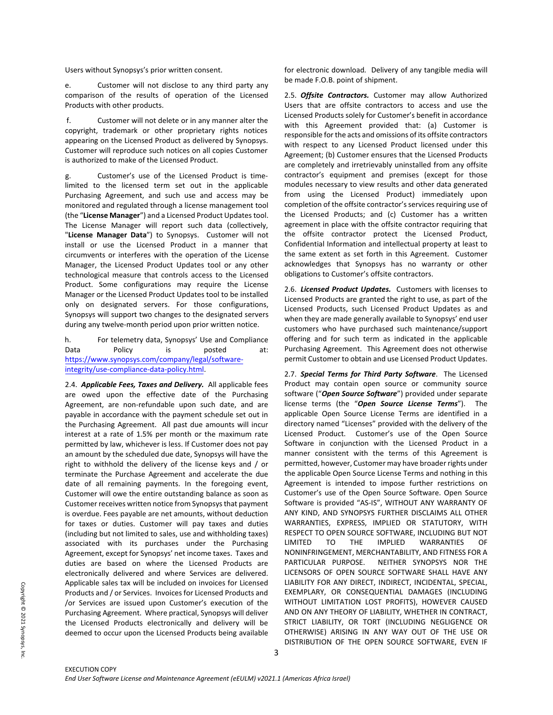Users without Synopsys's prior written consent.

e. Customer will not disclose to any third party any comparison of the results of operation of the Licensed Products with other products.

f. Customer will not delete or in any manner alter the copyright, trademark or other proprietary rights notices appearing on the Licensed Product as delivered by Synopsys. Customer will reproduce such notices on all copies Customer is authorized to make of the Licensed Product.

g. Customer's use of the Licensed Product is timelimited to the licensed term set out in the applicable Purchasing Agreement, and such use and access may be monitored and regulated through a license management tool (the "**License Manager**") and a Licensed Product Updates tool. The License Manager will report such data (collectively, "**License Manager Data**") to Synopsys. Customer will not install or use the Licensed Product in a manner that circumvents or interferes with the operation of the License Manager, the Licensed Product Updates tool or any other technological measure that controls access to the Licensed Product. Some configurations may require the License Manager or the Licensed Product Updates tool to be installed only on designated servers. For those configurations, Synopsys will support two changes to the designated servers during any twelve-month period upon prior written notice.

h. For telemetry data, Synopsys' Use and Compliance Data Policy is posted at: [https://www.synopsys.com/company/legal/software](https://www.synopsys.com/company/legal/software-integrity/use-compliance-data-policy.html)[integrity/use-compliance-data-policy.html.](https://www.synopsys.com/company/legal/software-integrity/use-compliance-data-policy.html)

2.4. *Applicable Fees, Taxes and Delivery.* All applicable fees are owed upon the effective date of the Purchasing Agreement, are non-refundable upon such date, and are payable in accordance with the payment schedule set out in the Purchasing Agreement. All past due amounts will incur interest at a rate of 1.5% per month or the maximum rate permitted by law, whichever is less. If Customer does not pay an amount by the scheduled due date, Synopsys will have the right to withhold the delivery of the license keys and / or terminate the Purchase Agreement and accelerate the due date of all remaining payments. In the foregoing event, Customer will owe the entire outstanding balance as soon as Customer receives written notice from Synopsys that payment is overdue. Fees payable are net amounts, without deduction for taxes or duties. Customer will pay taxes and duties (including but not limited to sales, use and withholding taxes) associated with its purchases under the Purchasing Agreement, except for Synopsys' net income taxes. Taxes and duties are based on where the Licensed Products are electronically delivered and where Services are delivered. Applicable sales tax will be included on invoices for Licensed Products and / or Services. Invoices for Licensed Products and /or Services are issued upon Customer's execution of the Purchasing Agreement. Where practical, Synopsys will deliver the Licensed Products electronically and delivery will be deemed to occur upon the Licensed Products being available

for electronic download*.* Delivery of any tangible media will be made F.O.B. point of shipment.

2.5. *Offsite Contractors.* Customer may allow Authorized Users that are offsite contractors to access and use the Licensed Products solely for Customer's benefit in accordance with this Agreement provided that: (a) Customer is responsible for the acts and omissions of its offsite contractors with respect to any Licensed Product licensed under this Agreement; (b) Customer ensures that the Licensed Products are completely and irretrievably uninstalled from any offsite contractor's equipment and premises (except for those modules necessary to view results and other data generated from using the Licensed Product) immediately upon completion of the offsite contractor's services requiring use of the Licensed Products; and (c) Customer has a written agreement in place with the offsite contractor requiring that the offsite contractor protect the Licensed Product, Confidential Information and intellectual property at least to the same extent as set forth in this Agreement. Customer acknowledges that Synopsys has no warranty or other obligations to Customer's offsite contractors.

2.6. *Licensed Product Updates.* Customers with licenses to Licensed Products are granted the right to use, as part of the Licensed Products, such Licensed Product Updates as and when they are made generally available to Synopsys' end user customers who have purchased such maintenance/support offering and for such term as indicated in the applicable Purchasing Agreement. This Agreement does not otherwise permit Customer to obtain and use Licensed Product Updates.

2.7. *Special Terms for Third Party Software*. The Licensed Product may contain open source or community source software ("*Open Source Software*") provided under separate license terms (the "*Open Source License Terms*"). The applicable Open Source License Terms are identified in a directory named "Licenses" provided with the delivery of the Licensed Product. Customer's use of the Open Source Software in conjunction with the Licensed Product in a manner consistent with the terms of this Agreement is permitted, however, Customer may have broader rights under the applicable Open Source License Terms and nothing in this Agreement is intended to impose further restrictions on Customer's use of the Open Source Software. Open Source Software is provided "AS-IS", WITHOUT ANY WARRANTY OF ANY KIND, AND SYNOPSYS FURTHER DISCLAIMS ALL OTHER WARRANTIES, EXPRESS, IMPLIED OR STATUTORY, WITH RESPECT TO OPEN SOURCE SOFTWARE, INCLUDING BUT NOT LIMITED TO THE IMPLIED WARRANTIES OF NONINFRINGEMENT, MERCHANTABILITY, AND FITNESS FOR A PARTICULAR PURPOSE. NEITHER SYNOPSYS NOR THE LICENSORS OF OPEN SOURCE SOFTWARE SHALL HAVE ANY LIABILITY FOR ANY DIRECT, INDIRECT, INCIDENTAL, SPECIAL, EXEMPLARY, OR CONSEQUENTIAL DAMAGES (INCLUDING WITHOUT LIMITATION LOST PROFITS), HOWEVER CAUSED AND ON ANY THEORY OF LIABILITY, WHETHER IN CONTRACT, STRICT LIABILITY, OR TORT (INCLUDING NEGLIGENCE OR OTHERWISE) ARISING IN ANY WAY OUT OF THE USE OR DISTRIBUTION OF THE OPEN SOURCE SOFTWARE, EVEN IF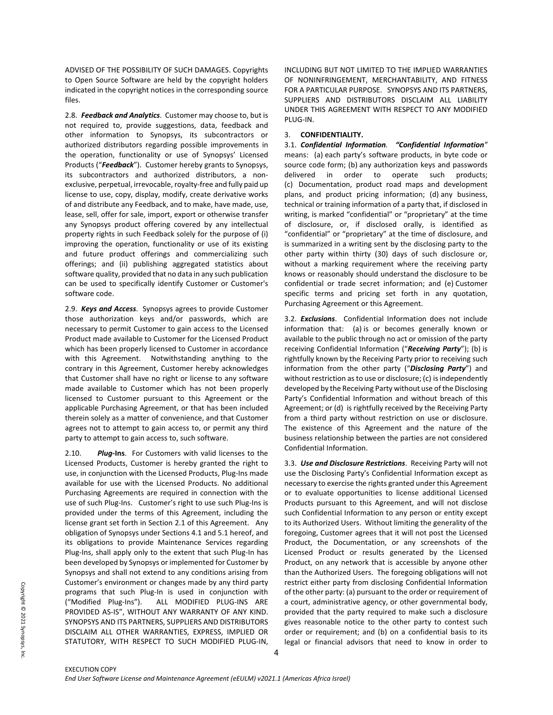ADVISED OF THE POSSIBILITY OF SUCH DAMAGES. Copyrights to Open Source Software are held by the copyright holders indicated in the copyright notices in the corresponding source files.

2.8. *Feedback and Analytics*. Customer may choose to, but is not required to, provide suggestions, data, feedback and other information to Synopsys, its subcontractors or authorized distributors regarding possible improvements in the operation, functionality or use of Synopsys' Licensed Products ("*Feedback*"). Customer hereby grants to Synopsys, its subcontractors and authorized distributors, a nonexclusive, perpetual, irrevocable, royalty-free and fully paid up license to use, copy, display, modify, create derivative works of and distribute any Feedback, and to make, have made, use, lease, sell, offer for sale, import, export or otherwise transfer any Synopsys product offering covered by any intellectual property rights in such Feedback solely for the purpose of (i) improving the operation, functionality or use of its existing and future product offerings and commercializing such offerings; and (ii) publishing aggregated statistics about software quality, provided that no data in any such publication can be used to specifically identify Customer or Customer's software code.

2.9. *Keys and Access*. Synopsys agrees to provide Customer those authorization keys and/or passwords, which are necessary to permit Customer to gain access to the Licensed Product made available to Customer for the Licensed Product which has been properly licensed to Customer in accordance with this Agreement. Notwithstanding anything to the contrary in this Agreement, Customer hereby acknowledges that Customer shall have no right or license to any software made available to Customer which has not been properly licensed to Customer pursuant to this Agreement or the applicable Purchasing Agreement, or that has been included therein solely as a matter of convenience, and that Customer agrees not to attempt to gain access to, or permit any third party to attempt to gain access to, such software.

2.10. *Plug***-Ins**. For Customers with valid licenses to the Licensed Products, Customer is hereby granted the right to use, in conjunction with the Licensed Products, Plug-Ins made available for use with the Licensed Products. No additional Purchasing Agreements are required in connection with the use of such Plug-Ins. Customer's right to use such Plug-Ins is provided under the terms of this Agreement, including the license grant set forth in Section 2.1 of this Agreement. Any obligation of Synopsys under Sections 4.1 and 5.1 hereof, and its obligations to provide Maintenance Services regarding Plug-Ins, shall apply only to the extent that such Plug-In has been developed by Synopsys or implemented for Customer by Synopsys and shall not extend to any conditions arising from Customer's environment or changes made by any third party programs that such Plug-In is used in conjunction with ("Modified Plug-Ins"). ALL MODIFIED PLUG-INS ARE PROVIDED AS-IS", WITHOUT ANY WARRANTY OF ANY KIND. SYNOPSYS AND ITS PARTNERS, SUPPLIERS AND DISTRIBUTORS DISCLAIM ALL OTHER WARRANTIES, EXPRESS, IMPLIED OR STATUTORY, WITH RESPECT TO SUCH MODIFIED PLUG-IN,

INCLUDING BUT NOT LIMITED TO THE IMPLIED WARRANTIES OF NONINFRINGEMENT, MERCHANTABILITY, AND FITNESS FOR A PARTICULAR PURPOSE. SYNOPSYS AND ITS PARTNERS, SUPPLIERS AND DISTRIBUTORS DISCLAIM ALL LIABILITY UNDER THIS AGREEMENT WITH RESPECT TO ANY MODIFIED PLUG-IN.

## 3. **CONFIDENTIALITY.**

3.1. *Confidential Information. "Confidential Information"* means: (a) each party's software products, in byte code or source code form; (b) any authorization keys and passwords delivered in order to operate such products; (c) Documentation, product road maps and development plans, and product pricing information; (d) any business, technical or training information of a party that, if disclosed in writing, is marked "confidential" or "proprietary" at the time of disclosure, or, if disclosed orally, is identified as "confidential" or "proprietary" at the time of disclosure, and is summarized in a writing sent by the disclosing party to the other party within thirty (30) days of such disclosure or, without a marking requirement where the receiving party knows or reasonably should understand the disclosure to be confidential or trade secret information; and (e) Customer specific terms and pricing set forth in any quotation, Purchasing Agreement or this Agreement.

3.2. *Exclusions*. Confidential Information does not include information that: (a) is or becomes generally known or available to the public through no act or omission of the party receiving Confidential Information ("*Receiving Party*"); (b) is rightfully known by the Receiving Party prior to receiving such information from the other party ("*Disclosing Party*") and without restriction as to use or disclosure; (c) is independently developed by the Receiving Party without use of the Disclosing Party's Confidential Information and without breach of this Agreement; or (d) is rightfully received by the Receiving Party from a third party without restriction on use or disclosure. The existence of this Agreement and the nature of the business relationship between the parties are not considered Confidential Information.

3.3. *Use and Disclosure Restrictions*. Receiving Party will not use the Disclosing Party's Confidential Information except as necessary to exercise the rights granted under this Agreement or to evaluate opportunities to license additional Licensed Products pursuant to this Agreement, and will not disclose such Confidential Information to any person or entity except to its Authorized Users. Without limiting the generality of the foregoing, Customer agrees that it will not post the Licensed Product, the Documentation, or any screenshots of the Licensed Product or results generated by the Licensed Product, on any network that is accessible by anyone other than the Authorized Users. The foregoing obligations will not restrict either party from disclosing Confidential Information of the other party: (a) pursuant to the order or requirement of a court, administrative agency, or other governmental body, provided that the party required to make such a disclosure gives reasonable notice to the other party to contest such order or requirement; and (b) on a confidential basis to its legal or financial advisors that need to know in order to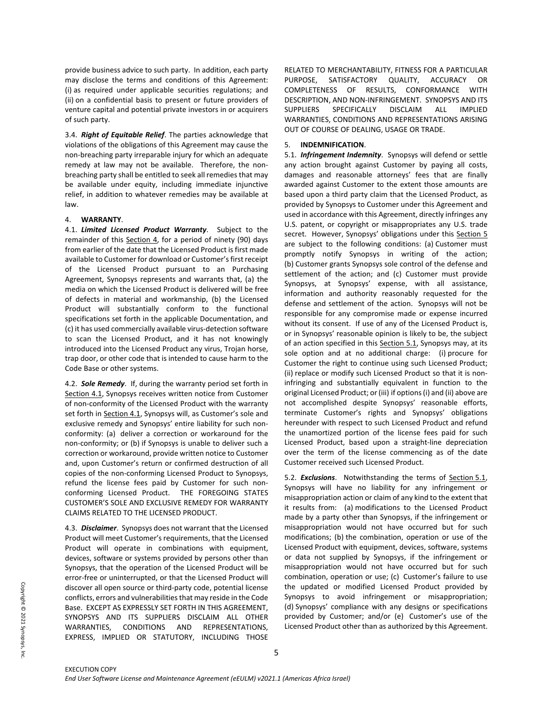provide business advice to such party. In addition, each party may disclose the terms and conditions of this Agreement: (i) as required under applicable securities regulations; and (ii) on a confidential basis to present or future providers of venture capital and potential private investors in or acquirers of such party.

3.4. *Right of Equitable Relief*. The parties acknowledge that violations of the obligations of this Agreement may cause the non-breaching party irreparable injury for which an adequate remedy at law may not be available. Therefore, the nonbreaching party shall be entitled to seek all remedies that may be available under equity, including immediate injunctive relief, in addition to whatever remedies may be available at law.

## 4. **WARRANTY**.

4.1. *Limited Licensed Product Warranty*. Subject to the remainder of this Section 4, for a period of ninety (90) days from earlier of the date that the Licensed Product is first made available to Customer for download or Customer's first receipt of the Licensed Product pursuant to an Purchasing Agreement, Synopsys represents and warrants that, (a) the media on which the Licensed Product is delivered will be free of defects in material and workmanship, (b) the Licensed Product will substantially conform to the functional specifications set forth in the applicable Documentation, and (c) it has used commercially available virus-detection software to scan the Licensed Product, and it has not knowingly introduced into the Licensed Product any virus, Trojan horse, trap door, or other code that is intended to cause harm to the Code Base or other systems.

4.2. *Sole Remedy*. If, during the warranty period set forth in Section 4.1, Synopsys receives written notice from Customer of non-conformity of the Licensed Product with the warranty set forth in Section 4.1, Synopsys will, as Customer's sole and exclusive remedy and Synopsys' entire liability for such nonconformity: (a) deliver a correction or workaround for the non-conformity; or (b) if Synopsys is unable to deliver such a correction or workaround, provide written notice to Customer and, upon Customer's return or confirmed destruction of all copies of the non-conforming Licensed Product to Synopsys, refund the license fees paid by Customer for such nonconforming Licensed Product. THE FOREGOING STATES CUSTOMER'S SOLE AND EXCLUSIVE REMEDY FOR WARRANTY CLAIMS RELATED TO THE LICENSED PRODUCT.

4.3. *Disclaimer*. Synopsys does not warrant that the Licensed Product will meet Customer's requirements, that the Licensed Product will operate in combinations with equipment, devices, software or systems provided by persons other than Synopsys, that the operation of the Licensed Product will be error-free or uninterrupted, or that the Licensed Product will discover all open source or third-party code, potential license conflicts, errors and vulnerabilities that may reside in the Code Base. EXCEPT AS EXPRESSLY SET FORTH IN THIS AGREEMENT, SYNOPSYS AND ITS SUPPLIERS DISCLAIM ALL OTHER WARRANTIES, CONDITIONS AND REPRESENTATIONS, EXPRESS, IMPLIED OR STATUTORY, INCLUDING THOSE

RELATED TO MERCHANTABILITY, FITNESS FOR A PARTICULAR PURPOSE, SATISFACTORY QUALITY, ACCURACY OR COMPLETENESS OF RESULTS, CONFORMANCE WITH DESCRIPTION, AND NON-INFRINGEMENT. SYNOPSYS AND ITS SUPPLIERS SPECIFICALLY DISCLAIM ALL IMPLIED WARRANTIES, CONDITIONS AND REPRESENTATIONS ARISING OUT OF COURSE OF DEALING, USAGE OR TRADE.

## 5. **INDEMNIFICATION**.

5.1. *Infringement Indemnity*. Synopsys will defend or settle any action brought against Customer by paying all costs, damages and reasonable attorneys' fees that are finally awarded against Customer to the extent those amounts are based upon a third party claim that the Licensed Product, as provided by Synopsys to Customer under this Agreement and used in accordance with this Agreement, directly infringes any U.S. patent, or copyright or misappropriates any U.S. trade secret. However, Synopsys' obligations under this Section 5 are subject to the following conditions: (a) Customer must promptly notify Synopsys in writing of the action; (b) Customer grants Synopsys sole control of the defense and settlement of the action; and (c) Customer must provide Synopsys, at Synopsys' expense, with all assistance, information and authority reasonably requested for the defense and settlement of the action. Synopsys will not be responsible for any compromise made or expense incurred without its consent. If use of any of the Licensed Product is, or in Synopsys' reasonable opinion is likely to be, the subject of an action specified in this Section 5.1, Synopsys may, at its sole option and at no additional charge: (i) procure for Customer the right to continue using such Licensed Product; (ii) replace or modify such Licensed Product so that it is noninfringing and substantially equivalent in function to the original Licensed Product; or (iii) if options (i) and (ii) above are not accomplished despite Synopsys' reasonable efforts, terminate Customer's rights and Synopsys' obligations hereunder with respect to such Licensed Product and refund the unamortized portion of the license fees paid for such Licensed Product, based upon a straight-line depreciation over the term of the license commencing as of the date Customer received such Licensed Product.

5.2. *Exclusions*. Notwithstanding the terms of Section 5.1, Synopsys will have no liability for any infringement or misappropriation action or claim of any kind to the extent that it results from: (a) modifications to the Licensed Product made by a party other than Synopsys, if the infringement or misappropriation would not have occurred but for such modifications; (b) the combination, operation or use of the Licensed Product with equipment, devices, software, systems or data not supplied by Synopsys, if the infringement or misappropriation would not have occurred but for such combination, operation or use; (c) Customer's failure to use the updated or modified Licensed Product provided by Synopsys to avoid infringement or misappropriation; (d) Synopsys' compliance with any designs or specifications provided by Customer; and/or (e) Customer's use of the Licensed Product other than as authorized by this Agreement.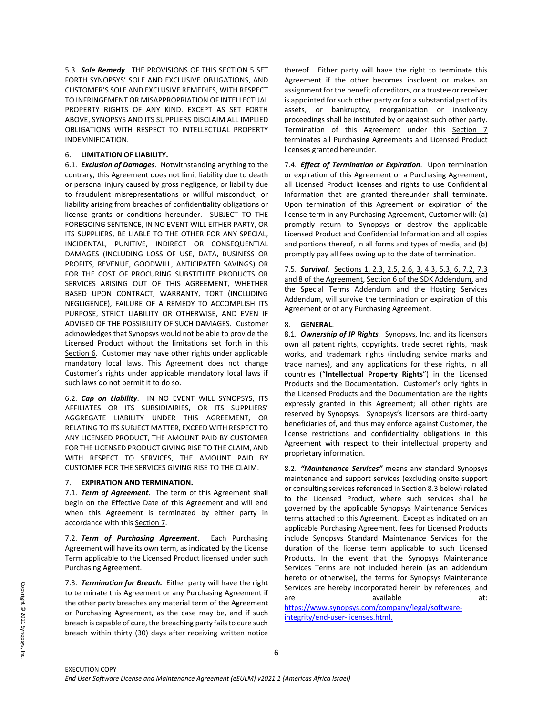5.3. *Sole Remedy*. THE PROVISIONS OF THIS SECTION 5 SET FORTH SYNOPSYS' SOLE AND EXCLUSIVE OBLIGATIONS, AND CUSTOMER'S SOLE AND EXCLUSIVE REMEDIES, WITH RESPECT TO INFRINGEMENT OR MISAPPROPRIATION OF INTELLECTUAL PROPERTY RIGHTS OF ANY KIND. EXCEPT AS SET FORTH ABOVE, SYNOPSYS AND ITS SUPPLIERS DISCLAIM ALL IMPLIED OBLIGATIONS WITH RESPECT TO INTELLECTUAL PROPERTY INDEMNIFICATION.

### 6. **LIMITATION OF LIABILITY.**

6.1. *Exclusion of Damages*. Notwithstanding anything to the contrary, this Agreement does not limit liability due to death or personal injury caused by gross negligence, or liability due to fraudulent misrepresentations or willful misconduct, or liability arising from breaches of confidentiality obligations or license grants or conditions hereunder. SUBJECT TO THE FOREGOING SENTENCE, IN NO EVENT WILL EITHER PARTY, OR ITS SUPPLIERS, BE LIABLE TO THE OTHER FOR ANY SPECIAL, INCIDENTAL, PUNITIVE, INDIRECT OR CONSEQUENTIAL DAMAGES (INCLUDING LOSS OF USE, DATA, BUSINESS OR PROFITS, REVENUE, GOODWILL, ANTICIPATED SAVINGS) OR FOR THE COST OF PROCURING SUBSTITUTE PRODUCTS OR SERVICES ARISING OUT OF THIS AGREEMENT, WHETHER BASED UPON CONTRACT, WARRANTY, TORT (INCLUDING NEGLIGENCE), FAILURE OF A REMEDY TO ACCOMPLISH ITS PURPOSE, STRICT LIABILITY OR OTHERWISE, AND EVEN IF ADVISED OF THE POSSIBILITY OF SUCH DAMAGES. Customer acknowledges that Synopsys would not be able to provide the Licensed Product without the limitations set forth in this Section 6. Customer may have other rights under applicable mandatory local laws. This Agreement does not change Customer's rights under applicable mandatory local laws if such laws do not permit it to do so.

6.2. *Cap on Liability*. IN NO EVENT WILL SYNOPSYS, ITS AFFILIATES OR ITS SUBSIDIAIRIES, OR ITS SUPPLIERS' AGGREGATE LIABILITY UNDER THIS AGREEMENT, OR RELATING TO ITS SUBJECT MATTER, EXCEED WITH RESPECT TO ANY LICENSED PRODUCT, THE AMOUNT PAID BY CUSTOMER FOR THE LICENSED PRODUCT GIVING RISE TO THE CLAIM, AND WITH RESPECT TO SERVICES, THE AMOUNT PAID BY CUSTOMER FOR THE SERVICES GIVING RISE TO THE CLAIM.

### 7. **EXPIRATION AND TERMINATION.**

7.1. *Term of Agreement*. The term of this Agreement shall begin on the Effective Date of this Agreement and will end when this Agreement is terminated by either party in accordance with this Section 7.

7.2. *Term of Purchasing Agreement*. Each Purchasing Agreement will have its own term, as indicated by the License Term applicable to the Licensed Product licensed under such Purchasing Agreement.

7.3. *Termination for Breach.* Either party will have the right to terminate this Agreement or any Purchasing Agreement if the other party breaches any material term of the Agreement or Purchasing Agreement, as the case may be, and if such breach is capable of cure, the breaching party fails to cure such breach within thirty (30) days after receiving written notice thereof. Either party will have the right to terminate this Agreement if the other becomes insolvent or makes an assignment for the benefit of creditors, or a trustee or receiver is appointed for such other party or for a substantial part of its assets, or bankruptcy, reorganization or insolvency proceedings shall be instituted by or against such other party. Termination of this Agreement under this Section 7 terminates all Purchasing Agreements and Licensed Product licenses granted hereunder.

7.4. *Effect of Termination or Expiration*. Upon termination or expiration of this Agreement or a Purchasing Agreement, all Licensed Product licenses and rights to use Confidential Information that are granted thereunder shall terminate. Upon termination of this Agreement or expiration of the license term in any Purchasing Agreement, Customer will: (a) promptly return to Synopsys or destroy the applicable Licensed Product and Confidential Information and all copies and portions thereof, in all forms and types of media; and (b) promptly pay all fees owing up to the date of termination.

7.5. *Survival*. Sections 1, 2.3, 2.5, 2.6, 3, 4.3, 5.3, 6, 7.2, 7.3 and 8 of the Agreement, Section 6 of the SDK Addendum, and the Special Terms Addendum and the Hosting Services Addendum, will survive the termination or expiration of this Agreement or of any Purchasing Agreement.

# 8. **GENERAL**.

8.1. *Ownership of IP Rights.* Synopsys, Inc. and its licensors own all patent rights, copyrights, trade secret rights, mask works, and trademark rights (including service marks and trade names), and any applications for these rights, in all countries ("**Intellectual Property Rights**") in the Licensed Products and the Documentation. Customer's only rights in the Licensed Products and the Documentation are the rights expressly granted in this Agreement; all other rights are reserved by Synopsys. Synopsys's licensors are third-party beneficiaries of, and thus may enforce against Customer, the license restrictions and confidentiality obligations in this Agreement with respect to their intellectual property and proprietary information.

8.2. *"Maintenance Services"* means any standard Synopsys maintenance and support services (excluding onsite support or consulting services referenced in Section 8.3 below) related to the Licensed Product, where such services shall be governed by the applicable Synopsys Maintenance Services terms attached to this Agreement. Except as indicated on an applicable Purchasing Agreement, fees for Licensed Products include Synopsys Standard Maintenance Services for the duration of the license term applicable to such Licensed Products. In the event that the Synopsys Maintenance Services Terms are not included herein (as an addendum hereto or otherwise), the terms for Synopsys Maintenance Services are hereby incorporated herein by references, and are available and at:

[https://www.synopsys.com/company/legal/software](https://www.synopsys.com/company/legal/software-integrity/end-user-licenses.html.)[integrity/end-user-licenses.html.](https://www.synopsys.com/company/legal/software-integrity/end-user-licenses.html.)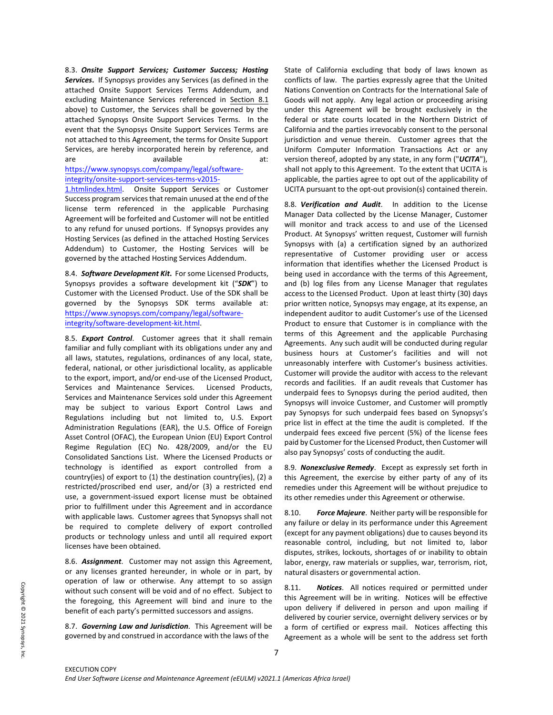8.3. *Onsite Support Services; Customer Success; Hosting Services***.** If Synopsys provides any Services (as defined in the attached Onsite Support Services Terms Addendum, and excluding Maintenance Services referenced in Section 8.1 above) to Customer, the Services shall be governed by the attached Synopsys Onsite Support Services Terms. In the event that the Synopsys Onsite Support Services Terms are not attached to this Agreement, the terms for Onsite Support Services, are hereby incorporated herein by reference, and are available and at:

### [https://www.synopsys.com/company/legal/software](https://www.synopsys.com/company/legal/software-integrity/onsite-support-services-terms-v2015-1.htmlindex.html)[integrity/onsite-support-services-terms-v2015-](https://www.synopsys.com/company/legal/software-integrity/onsite-support-services-terms-v2015-1.htmlindex.html)

[1.htmlindex.html.](https://www.synopsys.com/company/legal/software-integrity/onsite-support-services-terms-v2015-1.htmlindex.html) Onsite Support Services or Customer Success program services that remain unused at the end of the license term referenced in the applicable Purchasing Agreement will be forfeited and Customer will not be entitled to any refund for unused portions. If Synopsys provides any Hosting Services (as defined in the attached Hosting Services Addendum) to Customer, the Hosting Services will be governed by the attached Hosting Services Addendum.

8.4. *Software Development Kit***.** For some Licensed Products, Synopsys provides a software development kit ("*SDK*") to Customer with the Licensed Product. Use of the SDK shall be governed by the Synopsys SDK terms available at: [https://www.synopsys.com/company/legal/software](https://www.synopsys.com/company/legal/software-integrity/software-development-kit.html)[integrity/software-development-kit.html.](https://www.synopsys.com/company/legal/software-integrity/software-development-kit.html) 

8.5. *Export Control*. Customer agrees that it shall remain familiar and fully compliant with its obligations under any and all laws, statutes, regulations, ordinances of any local, state, federal, national, or other jurisdictional locality, as applicable to the export, import, and/or end-use of the Licensed Product, Services and Maintenance Services. Licensed Products, Services and Maintenance Services sold under this Agreement may be subject to various Export Control Laws and Regulations including but not limited to, U.S. Export Administration Regulations (EAR), the U.S. Office of Foreign Asset Control (OFAC), the European Union (EU) Export Control Regime Regulation (EC) No. 428/2009, and/or the EU Consolidated Sanctions List. Where the Licensed Products or technology is identified as export controlled from a country(ies) of export to (1) the destination country(ies), (2) a restricted/proscribed end user, and/or (3) a restricted end use, a government-issued export license must be obtained prior to fulfillment under this Agreement and in accordance with applicable laws. Customer agrees that Synopsys shall not be required to complete delivery of export controlled products or technology unless and until all required export licenses have been obtained.

8.6. *Assignment*. Customer may not assign this Agreement, or any licenses granted hereunder, in whole or in part, by operation of law or otherwise. Any attempt to so assign without such consent will be void and of no effect. Subject to the foregoing, this Agreement will bind and inure to the benefit of each party's permitted successors and assigns.

8.7. *Governing Law and Jurisdiction*. This Agreement will be governed by and construed in accordance with the laws of the

State of California excluding that body of laws known as conflicts of law. The parties expressly agree that the United Nations Convention on Contracts for the International Sale of Goods will not apply. Any legal action or proceeding arising under this Agreement will be brought exclusively in the federal or state courts located in the Northern District of California and the parties irrevocably consent to the personal jurisdiction and venue therein. Customer agrees that the Uniform Computer Information Transactions Act or any version thereof, adopted by any state, in any form ("*UCITA*"), shall not apply to this Agreement. To the extent that UCITA is applicable, the parties agree to opt out of the applicability of UCITA pursuant to the opt-out provision(s) contained therein.

8.8. *Verification and Audit*. In addition to the License Manager Data collected by the License Manager, Customer will monitor and track access to and use of the Licensed Product. At Synopsys' written request, Customer will furnish Synopsys with (a) a certification signed by an authorized representative of Customer providing user or access information that identifies whether the Licensed Product is being used in accordance with the terms of this Agreement, and (b) log files from any License Manager that regulates access to the Licensed Product. Upon at least thirty (30) days prior written notice, Synopsys may engage, at its expense, an independent auditor to audit Customer's use of the Licensed Product to ensure that Customer is in compliance with the terms of this Agreement and the applicable Purchasing Agreements. Any such audit will be conducted during regular business hours at Customer's facilities and will not unreasonably interfere with Customer's business activities. Customer will provide the auditor with access to the relevant records and facilities. If an audit reveals that Customer has underpaid fees to Synopsys during the period audited, then Synopsys will invoice Customer, and Customer will promptly pay Synopsys for such underpaid fees based on Synopsys's price list in effect at the time the audit is completed. If the underpaid fees exceed five percent (5%) of the license fees paid by Customer for the Licensed Product, then Customer will also pay Synopsys' costs of conducting the audit.

8.9. *Nonexclusive Remedy*. Except as expressly set forth in this Agreement, the exercise by either party of any of its remedies under this Agreement will be without prejudice to its other remedies under this Agreement or otherwise.

8.10. *Force Majeure*. Neither party will be responsible for any failure or delay in its performance under this Agreement (except for any payment obligations) due to causes beyond its reasonable control, including, but not limited to, labor disputes, strikes, lockouts, shortages of or inability to obtain labor, energy, raw materials or supplies, war, terrorism, riot, natural disasters or governmental action.

8.11. *Notices*. All notices required or permitted under this Agreement will be in writing. Notices will be effective upon delivery if delivered in person and upon mailing if delivered by courier service, overnight delivery services or by a form of certified or express mail. Notices affecting this Agreement as a whole will be sent to the address set forth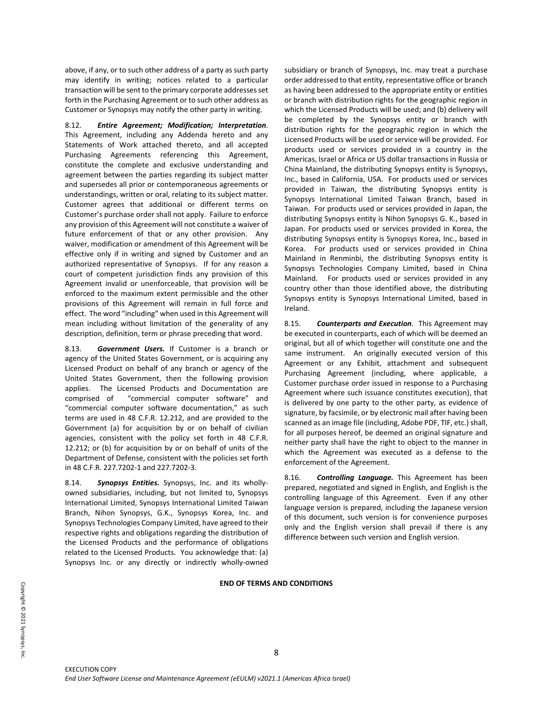above, if any, or to such other address of a party as such party may identify in writing; notices related to a particular transaction will be sent to the primary corporate addresses set forth in the Purchasing Agreement or to such other address as Customer or Synopsys may notify the other party in writing.

8.12. *Entire Agreement; Modification; Interpretation*. This Agreement, including any Addenda hereto and any Statements of Work attached thereto, and all accepted Purchasing Agreements referencing this Agreement, constitute the complete and exclusive understanding and agreement between the parties regarding its subject matter and supersedes all prior or contemporaneous agreements or understandings, written or oral, relating to its subject matter. Customer agrees that additional or different terms on Customer's purchase order shall not apply. Failure to enforce any provision of this Agreement will not constitute a waiver of future enforcement of that or any other provision. Any waiver, modification or amendment of this Agreement will be effective only if in writing and signed by Customer and an authorized representative of Synopsys. If for any reason a court of competent jurisdiction finds any provision of this Agreement invalid or unenforceable, that provision will be enforced to the maximum extent permissible and the other provisions of this Agreement will remain in full force and effect. The word "including" when used in this Agreement will mean including without limitation of the generality of any description, definition, term or phrase preceding that word.

8.13. *Government Users.* If Customer is a branch or agency of the United States Government, or is acquiring any Licensed Product on behalf of any branch or agency of the United States Government, then the following provision applies. The Licensed Products and Documentation are comprised of "commercial computer software" and "commercial computer software documentation," as such terms are used in 48 C.F.R. 12.212, and are provided to the Government (a) for acquisition by or on behalf of civilian agencies, consistent with the policy set forth in 48 C.F.R. 12.212; or (b) for acquisition by or on behalf of units of the Department of Defense, consistent with the policies set forth in 48 C.F.R. 227.7202-1 and 227.7202-3.

8.14. *Synopsys Entities.* Synopsys, Inc. and its whollyowned subsidiaries, including, but not limited to, Synopsys International Limited, Synopsys International Limited Taiwan Branch, Nihon Synopsys, G.K., Synopsys Korea, Inc. and Synopsys Technologies Company Limited, have agreed to their respective rights and obligations regarding the distribution of the Licensed Products and the performance of obligations related to the Licensed Products. You acknowledge that: (a) Synopsys Inc. or any directly or indirectly wholly-owned

subsidiary or branch of Synopsys, Inc. may treat a purchase order addressed to that entity, representative office or branch as having been addressed to the appropriate entity or entities or branch with distribution rights for the geographic region in which the Licensed Products will be used; and (b) delivery will be completed by the Synopsys entity or branch with distribution rights for the geographic region in which the Licensed Products will be used or service will be provided. For products used or services provided in a country in the Americas, Israel or Africa or US dollar transactions in Russia or China Mainland, the distributing Synopsys entity is Synopsys, Inc., based in California, USA. For products used or services provided in Taiwan, the distributing Synopsys entity is Synopsys International Limited Taiwan Branch, based in Taiwan. For products used or services provided in Japan, the distributing Synopsys entity is Nihon Synopsys G. K., based in Japan. For products used or services provided in Korea, the distributing Synopsys entity is Synopsys Korea, Inc., based in Korea. For products used or services provided in China Mainland in Renminbi, the distributing Synopsys entity is Synopsys Technologies Company Limited, based in China Mainland. For products used or services provided in any country other than those identified above, the distributing Synopsys entity is Synopsys International Limited, based in Ireland.

8.15. *Counterparts and Execution*. This Agreement may be executed in counterparts, each of which will be deemed an original, but all of which together will constitute one and the same instrument. An originally executed version of this Agreement or any Exhibit, attachment and subsequent Purchasing Agreement (including, where applicable, a Customer purchase order issued in response to a Purchasing Agreement where such issuance constitutes execution), that is delivered by one party to the other party, as evidence of signature, by facsimile, or by electronic mail after having been scanned as an image file (including, Adobe PDF, TIF, etc.) shall, for all purposes hereof, be deemed an original signature and neither party shall have the right to object to the manner in which the Agreement was executed as a defense to the enforcement of the Agreement.

8.16. *Controlling Language.* This Agreement has been prepared, negotiated and signed in English, and English is the controlling language of this Agreement. Even if any other language version is prepared, including the Japanese version of this document, such version is for convenience purposes only and the English version shall prevail if there is any difference between such version and English version.

#### **END OF TERMS AND CONDITIONS**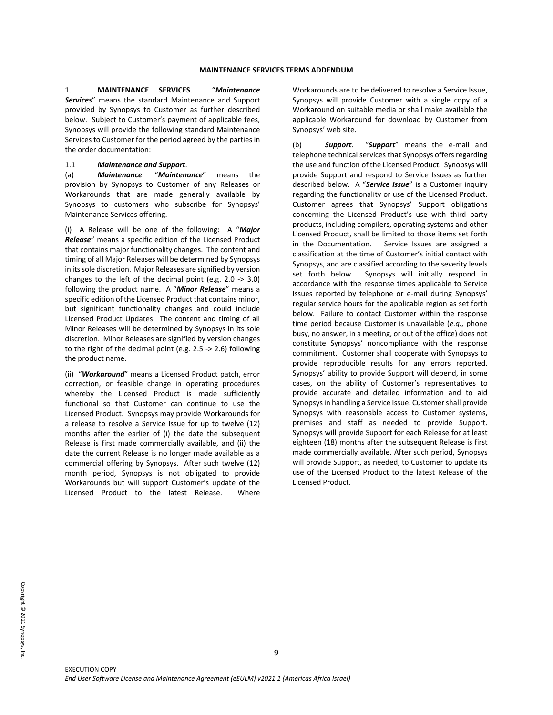1. **MAINTENANCE SERVICES**. "*Maintenance Services*" means the standard Maintenance and Support provided by Synopsys to Customer as further described below. Subject to Customer's payment of applicable fees, Synopsys will provide the following standard Maintenance Services to Customer for the period agreed by the parties in the order documentation:

## 1.1 *Maintenance and Support*.

(a) *Maintenance.* "*Maintenance*" means the provision by Synopsys to Customer of any Releases or Workarounds that are made generally available by Synopsys to customers who subscribe for Synopsys' Maintenance Services offering.

(i) A Release will be one of the following: A "*Major Release*" means a specific edition of the Licensed Product that contains major functionality changes. The content and timing of all Major Releases will be determined by Synopsys in its sole discretion. Major Releases are signified by version changes to the left of the decimal point (e.g. 2.0 -> 3.0) following the product name. A "*Minor Release*" means a specific edition of the Licensed Product that contains minor, but significant functionality changes and could include Licensed Product Updates. The content and timing of all Minor Releases will be determined by Synopsys in its sole discretion. Minor Releases are signified by version changes to the right of the decimal point (e.g. 2.5 -> 2.6) following the product name.

(ii) "*Workaround*" means a Licensed Product patch, error correction, or feasible change in operating procedures whereby the Licensed Product is made sufficiently functional so that Customer can continue to use the Licensed Product. Synopsys may provide Workarounds for a release to resolve a Service Issue for up to twelve (12) months after the earlier of (i) the date the subsequent Release is first made commercially available, and (ii) the date the current Release is no longer made available as a commercial offering by Synopsys. After such twelve (12) month period, Synopsys is not obligated to provide Workarounds but will support Customer's update of the Licensed Product to the latest Release. Where

Workarounds are to be delivered to resolve a Service Issue, Synopsys will provide Customer with a single copy of a Workaround on suitable media or shall make available the applicable Workaround for download by Customer from Synopsys' web site.

(b) *Support*. "*Support*" means the e-mail and telephone technical services that Synopsys offers regarding the use and function of the Licensed Product. Synopsys will provide Support and respond to Service Issues as further described below. A "*Service Issue*" is a Customer inquiry regarding the functionality or use of the Licensed Product. Customer agrees that Synopsys' Support obligations concerning the Licensed Product's use with third party products, including compilers, operating systems and other Licensed Product, shall be limited to those items set forth in the Documentation. Service Issues are assigned a classification at the time of Customer's initial contact with Synopsys, and are classified according to the severity levels set forth below. Synopsys will initially respond in accordance with the response times applicable to Service Issues reported by telephone or e-mail during Synopsys' regular service hours for the applicable region as set forth below. Failure to contact Customer within the response time period because Customer is unavailable (*e.g.,* phone busy, no answer, in a meeting, or out of the office) does not constitute Synopsys' noncompliance with the response commitment. Customer shall cooperate with Synopsys to provide reproducible results for any errors reported. Synopsys' ability to provide Support will depend, in some cases, on the ability of Customer's representatives to provide accurate and detailed information and to aid Synopsys in handling a Service Issue. Customer shall provide Synopsys with reasonable access to Customer systems, premises and staff as needed to provide Support. Synopsys will provide Support for each Release for at least eighteen (18) months after the subsequent Release is first made commercially available. After such period, Synopsys will provide Support, as needed, to Customer to update its use of the Licensed Product to the latest Release of the Licensed Product.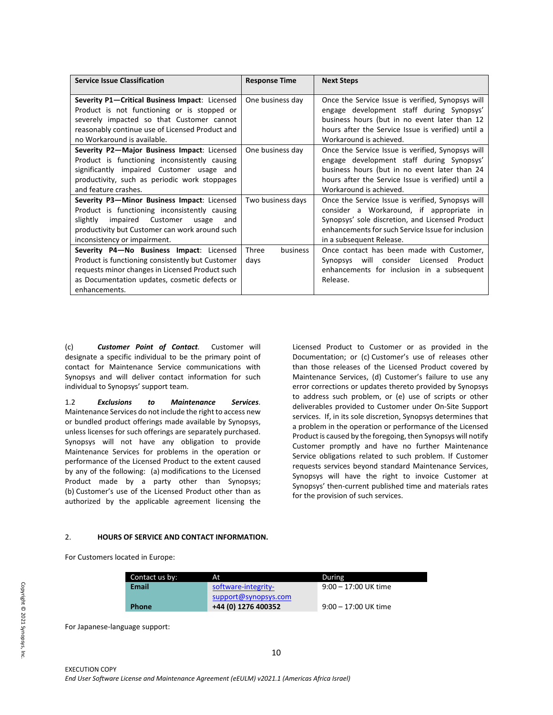| <b>Service Issue Classification</b>                                                                                                                                                                                             | <b>Response Time</b>      | <b>Next Steps</b>                                                                                                                                                                                                                 |
|---------------------------------------------------------------------------------------------------------------------------------------------------------------------------------------------------------------------------------|---------------------------|-----------------------------------------------------------------------------------------------------------------------------------------------------------------------------------------------------------------------------------|
| Severity P1-Critical Business Impact: Licensed<br>Product is not functioning or is stopped or<br>severely impacted so that Customer cannot<br>reasonably continue use of Licensed Product and<br>no Workaround is available.    | One business day          | Once the Service Issue is verified, Synopsys will<br>engage development staff during Synopsys'<br>business hours (but in no event later than 12<br>hours after the Service Issue is verified) until a<br>Workaround is achieved.  |
| Severity P2-Major Business Impact: Licensed<br>Product is functioning inconsistently causing<br>significantly impaired Customer usage and<br>productivity, such as periodic work stoppages<br>and feature crashes.              | One business day          | Once the Service Issue is verified, Synopsys will<br>engage development staff during Synopsys'<br>business hours (but in no event later than 24<br>hours after the Service Issue is verified) until a<br>Workaround is achieved.  |
| Severity P3-Minor Business Impact: Licensed<br>Product is functioning inconsistently causing<br>slightly<br>impaired Customer<br>usage<br>and<br>productivity but Customer can work around such<br>inconsistency or impairment. | Two business days         | Once the Service Issue is verified, Synopsys will<br>consider a Workaround, if appropriate in<br>Synopsys' sole discretion, and Licensed Product<br>enhancements for such Service Issue for inclusion<br>in a subsequent Release. |
| Severity P4-No Business Impact: Licensed<br>Product is functioning consistently but Customer<br>requests minor changes in Licensed Product such<br>as Documentation updates, cosmetic defects or<br>enhancements.               | Three<br>business<br>days | Once contact has been made with Customer,<br>Synopsys will consider Licensed<br>Product<br>enhancements for inclusion in a subsequent<br>Release.                                                                                 |

(c) *Customer Point of Contact.* Customer will designate a specific individual to be the primary point of contact for Maintenance Service communications with Synopsys and will deliver contact information for such individual to Synopsys' support team.

1.2 *Exclusions to Maintenance Services*. Maintenance Services do not include the right to access new or bundled product offerings made available by Synopsys, unless licenses for such offerings are separately purchased. Synopsys will not have any obligation to provide Maintenance Services for problems in the operation or performance of the Licensed Product to the extent caused by any of the following: (a) modifications to the Licensed Product made by a party other than Synopsys; (b) Customer's use of the Licensed Product other than as authorized by the applicable agreement licensing the Licensed Product to Customer or as provided in the Documentation; or (c) Customer's use of releases other than those releases of the Licensed Product covered by Maintenance Services, (d) Customer's failure to use any error corrections or updates thereto provided by Synopsys to address such problem, or (e) use of scripts or other deliverables provided to Customer under On-Site Support services. If, in its sole discretion, Synopsys determines that a problem in the operation or performance of the Licensed Product is caused by the foregoing, then Synopsys will notify Customer promptly and have no further Maintenance Service obligations related to such problem. If Customer requests services beyond standard Maintenance Services, Synopsys will have the right to invoice Customer at Synopsys' then-current published time and materials rates for the provision of such services.

### 2. **HOURS OF SERVICE AND CONTACT INFORMATION.**

For Customers located in Europe:

| Contact us by: | At.                  | During                 |
|----------------|----------------------|------------------------|
| Email          | software-integrity-  | $9:00 - 17:00$ UK time |
|                | support@synopsys.com |                        |
| <b>Phone</b>   | +44 (0) 1276 400352  | $9:00 - 17:00$ UK time |

For Japanese-language support: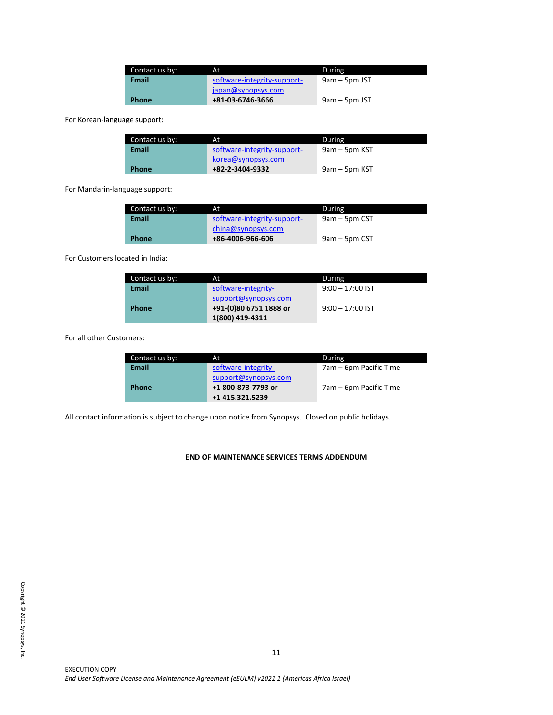| Contact us by: | At                          | During          |
|----------------|-----------------------------|-----------------|
| Email          | software-integrity-support- | $9am - 5pm JST$ |
|                | japan@synopsys.com          |                 |
| <b>Phone</b>   | +81-03-6746-3666            | $9am - 5pm JST$ |

For Korean-language support:

| Contact us by: | At                          | During        |
|----------------|-----------------------------|---------------|
| Email          | software-integrity-support- | 9am – 5pm KST |
|                | korea@synopsys.com          |               |
| <b>Phone</b>   | +82-2-3404-9332             | 9am – 5pm KST |

For Mandarin-language support:

| Contact us by: | At                          | During          |
|----------------|-----------------------------|-----------------|
| Email          | software-integrity-support- | $9am - 5pm CST$ |
|                | china@synopsys.com          |                 |
| <b>Phone</b>   | +86-4006-966-606            | 9am – 5pm CST   |

For Customers located in India:

| Contact us by: | At                     | During             |
|----------------|------------------------|--------------------|
| <b>Email</b>   | software-integrity-    | $9:00 - 17:00$ IST |
|                | support@synopsys.com   |                    |
| <b>Phone</b>   | +91-(0)80 6751 1888 or | $9:00 - 17:00$ IST |
|                | 1(800) 419-4311        |                    |

For all other Customers:

| Contact us by: | At                   | During                 |
|----------------|----------------------|------------------------|
| <b>Email</b>   | software-integrity-  | 7am – 6pm Pacific Time |
|                | support@synopsys.com |                        |
| <b>Phone</b>   | +1 800-873-7793 or   | 7am – 6pm Pacific Time |
|                | +1 415.321.5239      |                        |

All contact information is subject to change upon notice from Synopsys. Closed on public holidays.

# **END OF MAINTENANCE SERVICES TERMS ADDENDUM**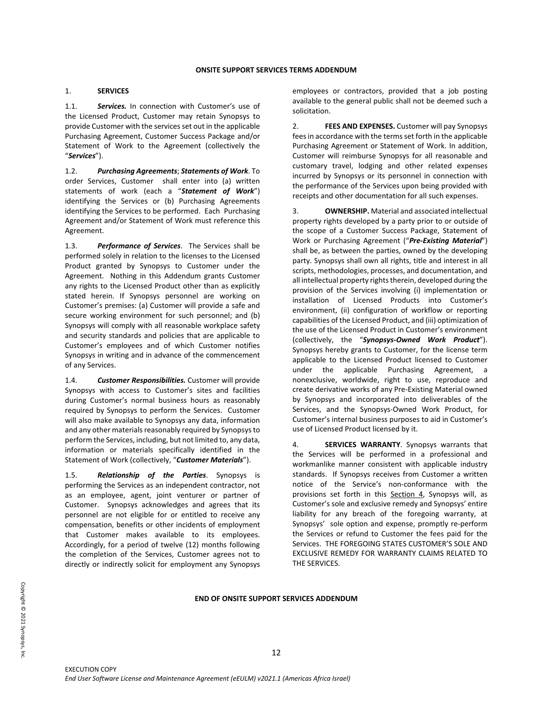## 1. **SERVICES**

1.1. *Services.* In connection with Customer's use of the Licensed Product, Customer may retain Synopsys to provide Customer with the services set out in the applicable Purchasing Agreement, Customer Success Package and/or Statement of Work to the Agreement (collectively the "*Services*").

1.2. *Purchasing Agreements*; *Statements of Work*. To order Services, Customer shall enter into (a) written statements of work (each a "*Statement of Work*") identifying the Services or (b) Purchasing Agreements identifying the Services to be performed. Each Purchasing Agreement and/or Statement of Work must reference this Agreement.

1.3. *Performance of Services*. The Services shall be performed solely in relation to the licenses to the Licensed Product granted by Synopsys to Customer under the Agreement. Nothing in this Addendum grants Customer any rights to the Licensed Product other than as explicitly stated herein. If Synopsys personnel are working on Customer's premises: (a) Customer will provide a safe and secure working environment for such personnel; and (b) Synopsys will comply with all reasonable workplace safety and security standards and policies that are applicable to Customer's employees and of which Customer notifies Synopsys in writing and in advance of the commencement of any Services.

1.4. *Customer Responsibilities.* Customer will provide Synopsys with access to Customer's sites and facilities during Customer's normal business hours as reasonably required by Synopsys to perform the Services. Customer will also make available to Synopsys any data, information and any other materials reasonably required by Synopsys to perform the Services, including, but not limited to, any data, information or materials specifically identified in the Statement of Work (collectively, "*Customer Materials*").

1.5. *Relationship of the Parties*. Synopsys is performing the Services as an independent contractor, not as an employee, agent, joint venturer or partner of Customer. Synopsys acknowledges and agrees that its personnel are not eligible for or entitled to receive any compensation, benefits or other incidents of employment that Customer makes available to its employees. Accordingly, for a period of twelve (12) months following the completion of the Services, Customer agrees not to directly or indirectly solicit for employment any Synopsys

employees or contractors, provided that a job posting available to the general public shall not be deemed such a solicitation.

2. **FEES AND EXPENSES.** Customer will pay Synopsys fees in accordance with the terms set forth in the applicable Purchasing Agreement or Statement of Work. In addition, Customer will reimburse Synopsys for all reasonable and customary travel, lodging and other related expenses incurred by Synopsys or its personnel in connection with the performance of the Services upon being provided with receipts and other documentation for all such expenses.

3. **OWNERSHIP.** Material and associated intellectual property rights developed by a party prior to or outside of the scope of a Customer Success Package, Statement of Work or Purchasing Agreement ("*Pre-Existing Material*") shall be, as between the parties, owned by the developing party. Synopsys shall own all rights, title and interest in all scripts, methodologies, processes, and documentation, and all intellectual property rights therein, developed during the provision of the Services involving (i) implementation or installation of Licensed Products into Customer's environment, (ii) configuration of workflow or reporting capabilities of the Licensed Product, and (iii) optimization of the use of the Licensed Product in Customer's environment (collectively, the "*Synopsys-Owned Work Product*"). Synopsys hereby grants to Customer, for the license term applicable to the Licensed Product licensed to Customer under the applicable Purchasing Agreement, a nonexclusive, worldwide, right to use, reproduce and create derivative works of any Pre-Existing Material owned by Synopsys and incorporated into deliverables of the Services, and the Synopsys-Owned Work Product, for Customer's internal business purposes to aid in Customer's use of Licensed Product licensed by it.

4. **SERVICES WARRANTY**. Synopsys warrants that the Services will be performed in a professional and workmanlike manner consistent with applicable industry standards. If Synopsys receives from Customer a written notice of the Service's non-conformance with the provisions set forth in this Section 4, Synopsys will, as Customer's sole and exclusive remedy and Synopsys' entire liability for any breach of the foregoing warranty, at Synopsys' sole option and expense, promptly re-perform the Services or refund to Customer the fees paid for the Services. THE FOREGOING STATES CUSTOMER'S SOLE AND EXCLUSIVE REMEDY FOR WARRANTY CLAIMS RELATED TO THE SERVICES.

## **END OF ONSITE SUPPORT SERVICES ADDENDUM**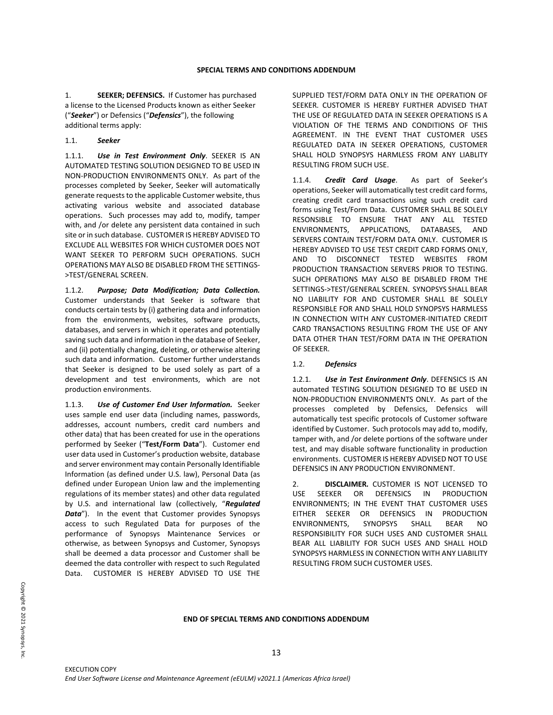1. **SEEKER; DEFENSICS.** If Customer has purchased a license to the Licensed Products known as either Seeker ("*Seeker*") or Defensics ("*Defensics*"), the following additional terms apply:

### 1.1. *Seeker*

1.1.1. *Use in Test Environment Only*. SEEKER IS AN AUTOMATED TESTING SOLUTION DESIGNED TO BE USED IN NON-PRODUCTION ENVIRONMENTS ONLY. As part of the processes completed by Seeker, Seeker will automatically generate requests to the applicable Customer website, thus activating various website and associated database operations. Such processes may add to, modify, tamper with, and /or delete any persistent data contained in such site or in such database. CUSTOMER IS HEREBY ADVISED TO EXCLUDE ALL WEBSITES FOR WHICH CUSTOMER DOES NOT WANT SEEKER TO PERFORM SUCH OPERATIONS. SUCH OPERATIONS MAY ALSO BE DISABLED FROM THE SETTINGS- >TEST/GENERAL SCREEN.

1.1.2. *Purpose; Data Modification; Data Collection.* Customer understands that Seeker is software that conducts certain tests by (i) gathering data and information from the environments, websites, software products, databases, and servers in which it operates and potentially saving such data and information in the database of Seeker, and (ii) potentially changing, deleting, or otherwise altering such data and information. Customer further understands that Seeker is designed to be used solely as part of a development and test environments, which are not production environments.

1.1.3. *Use of Customer End User Information.* Seeker uses sample end user data (including names, passwords, addresses, account numbers, credit card numbers and other data) that has been created for use in the operations performed by Seeker ("**Test/Form Data**"). Customer end user data used in Customer's production website, database and server environment may contain Personally Identifiable Information (as defined under U.S. law), Personal Data (as defined under European Union law and the implementing regulations of its member states) and other data regulated by U.S. and international law (collectively, "*Regulated*  Data"). In the event that Customer provides Synopsys access to such Regulated Data for purposes of the performance of Synopsys Maintenance Services or otherwise, as between Synopsys and Customer, Synopsys shall be deemed a data processor and Customer shall be deemed the data controller with respect to such Regulated Data. CUSTOMER IS HEREBY ADVISED TO USE THE

SUPPLIED TEST/FORM DATA ONLY IN THE OPERATION OF SEEKER. CUSTOMER IS HEREBY FURTHER ADVISED THAT THE USE OF REGULATED DATA IN SEEKER OPERATIONS IS A VIOLATION OF THE TERMS AND CONDITIONS OF THIS AGREEMENT. IN THE EVENT THAT CUSTOMER USES REGULATED DATA IN SEEKER OPERATIONS, CUSTOMER SHALL HOLD SYNOPSYS HARMLESS FROM ANY LIABLITY RESULTING FROM SUCH USE.

1.1.4. *Credit Card Usage*. As part of Seeker's operations, Seeker will automatically test credit card forms, creating credit card transactions using such credit card forms using Test/Form Data. CUSTOMER SHALL BE SOLELY RESONSIBLE TO ENSURE THAT ANY ALL TESTED ENVIRONMENTS, APPLICATIONS, DATABASES, AND SERVERS CONTAIN TEST/FORM DATA ONLY. CUSTOMER IS HEREBY ADVISED TO USE TEST CREDIT CARD FORMS ONLY, AND TO DISCONNECT TESTED WEBSITES FROM PRODUCTION TRANSACTION SERVERS PRIOR TO TESTING. SUCH OPERATIONS MAY ALSO BE DISABLED FROM THE SETTINGS->TEST/GENERAL SCREEN. SYNOPSYS SHALL BEAR NO LIABILITY FOR AND CUSTOMER SHALL BE SOLELY RESPONSIBLE FOR AND SHALL HOLD SYNOPSYS HARMLESS IN CONNECTION WITH ANY CUSTOMER-INITIATED CREDIT CARD TRANSACTIONS RESULTING FROM THE USE OF ANY DATA OTHER THAN TEST/FORM DATA IN THE OPERATION OF SEEKER.

### 1.2. *Defensics*

1.2.1. *Use in Test Environment Only*. DEFENSICS IS AN automated TESTING SOLUTION DESIGNED TO BE USED IN NON-PRODUCTION ENVIRONMENTS ONLY. As part of the processes completed by Defensics, Defensics will automatically test specific protocols of Customer software identified by Customer. Such protocols may add to, modify, tamper with, and /or delete portions of the software under test, and may disable software functionality in production environments. CUSTOMER IS HEREBY ADVISED NOT TO USE DEFENSICS IN ANY PRODUCTION ENVIRONMENT.

2. **DISCLAIMER***.* CUSTOMER IS NOT LICENSED TO USE SEEKER OR DEFENSICS IN PRODUCTION ENVIRONMENTS; IN THE EVENT THAT CUSTOMER USES EITHER SEEKER OR DEFENSICS IN PRODUCTION ENVIRONMENTS, SYNOPSYS SHALL BEAR NO RESPONSIBILITY FOR SUCH USES AND CUSTOMER SHALL BEAR ALL LIABILITY FOR SUCH USES AND SHALL HOLD SYNOPSYS HARMLESS IN CONNECTION WITH ANY LIABILITY RESULTING FROM SUCH CUSTOMER USES.

### **END OF SPECIAL TERMS AND CONDITIONS ADDENDUM**